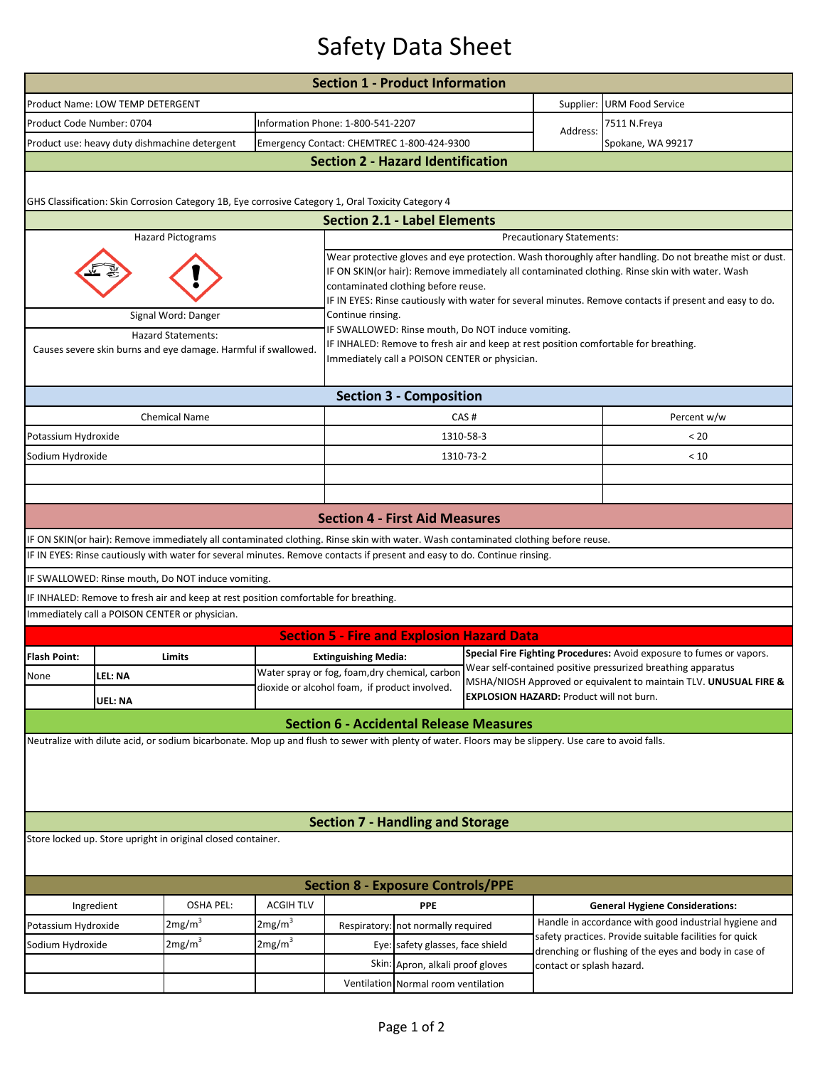## Safety Data Sheet

|                                                                                                                                                      |                                                                                                    |  |                    | <b>Section 1 - Product Information</b>                                                                                                                                                                                                                                                                                                                      |                                                                |                                                 |                                                                                                                                      |                                        |  |  |  |  |
|------------------------------------------------------------------------------------------------------------------------------------------------------|----------------------------------------------------------------------------------------------------|--|--------------------|-------------------------------------------------------------------------------------------------------------------------------------------------------------------------------------------------------------------------------------------------------------------------------------------------------------------------------------------------------------|----------------------------------------------------------------|-------------------------------------------------|--------------------------------------------------------------------------------------------------------------------------------------|----------------------------------------|--|--|--|--|
| Product Name: LOW TEMP DETERGENT                                                                                                                     |                                                                                                    |  |                    |                                                                                                                                                                                                                                                                                                                                                             |                                                                |                                                 | Supplier: URM Food Service                                                                                                           |                                        |  |  |  |  |
| Product Code Number: 0704                                                                                                                            |                                                                                                    |  |                    | Information Phone: 1-800-541-2207                                                                                                                                                                                                                                                                                                                           |                                                                |                                                 | Address:                                                                                                                             | 7511 N.Freya                           |  |  |  |  |
| Product use: heavy duty dishmachine detergent                                                                                                        |                                                                                                    |  |                    | Emergency Contact: CHEMTREC 1-800-424-9300                                                                                                                                                                                                                                                                                                                  |                                                                |                                                 |                                                                                                                                      | Spokane, WA 99217                      |  |  |  |  |
| <b>Section 2 - Hazard Identification</b>                                                                                                             |                                                                                                    |  |                    |                                                                                                                                                                                                                                                                                                                                                             |                                                                |                                                 |                                                                                                                                      |                                        |  |  |  |  |
|                                                                                                                                                      |                                                                                                    |  |                    |                                                                                                                                                                                                                                                                                                                                                             |                                                                |                                                 |                                                                                                                                      |                                        |  |  |  |  |
|                                                                                                                                                      | GHS Classification: Skin Corrosion Category 1B, Eye corrosive Category 1, Oral Toxicity Category 4 |  |                    |                                                                                                                                                                                                                                                                                                                                                             |                                                                |                                                 |                                                                                                                                      |                                        |  |  |  |  |
|                                                                                                                                                      |                                                                                                    |  |                    | <b>Section 2.1 - Label Elements</b>                                                                                                                                                                                                                                                                                                                         |                                                                |                                                 |                                                                                                                                      |                                        |  |  |  |  |
|                                                                                                                                                      | <b>Hazard Pictograms</b>                                                                           |  |                    | Precautionary Statements:                                                                                                                                                                                                                                                                                                                                   |                                                                |                                                 |                                                                                                                                      |                                        |  |  |  |  |
|                                                                                                                                                      |                                                                                                    |  |                    | Wear protective gloves and eye protection. Wash thoroughly after handling. Do not breathe mist or dust.<br>IF ON SKIN(or hair): Remove immediately all contaminated clothing. Rinse skin with water. Wash<br>contaminated clothing before reuse.<br>IF IN EYES: Rinse cautiously with water for several minutes. Remove contacts if present and easy to do. |                                                                |                                                 |                                                                                                                                      |                                        |  |  |  |  |
|                                                                                                                                                      | Signal Word: Danger                                                                                |  |                    | Continue rinsing.<br>IF SWALLOWED: Rinse mouth, Do NOT induce vomiting.                                                                                                                                                                                                                                                                                     |                                                                |                                                 |                                                                                                                                      |                                        |  |  |  |  |
| <b>Hazard Statements:</b><br>Causes severe skin burns and eye damage. Harmful if swallowed.                                                          |                                                                                                    |  |                    | IF INHALED: Remove to fresh air and keep at rest position comfortable for breathing.<br>Immediately call a POISON CENTER or physician.                                                                                                                                                                                                                      |                                                                |                                                 |                                                                                                                                      |                                        |  |  |  |  |
| <b>Section 3 - Composition</b>                                                                                                                       |                                                                                                    |  |                    |                                                                                                                                                                                                                                                                                                                                                             |                                                                |                                                 |                                                                                                                                      |                                        |  |  |  |  |
|                                                                                                                                                      | <b>Chemical Name</b>                                                                               |  |                    | CAS#                                                                                                                                                                                                                                                                                                                                                        |                                                                |                                                 |                                                                                                                                      | Percent w/w                            |  |  |  |  |
| Potassium Hydroxide                                                                                                                                  |                                                                                                    |  |                    | 1310-58-3                                                                                                                                                                                                                                                                                                                                                   |                                                                |                                                 |                                                                                                                                      | < 20                                   |  |  |  |  |
| Sodium Hydroxide                                                                                                                                     |                                                                                                    |  |                    | 1310-73-2                                                                                                                                                                                                                                                                                                                                                   |                                                                |                                                 |                                                                                                                                      | < 10                                   |  |  |  |  |
|                                                                                                                                                      |                                                                                                    |  |                    |                                                                                                                                                                                                                                                                                                                                                             |                                                                |                                                 |                                                                                                                                      |                                        |  |  |  |  |
|                                                                                                                                                      |                                                                                                    |  |                    |                                                                                                                                                                                                                                                                                                                                                             |                                                                |                                                 |                                                                                                                                      |                                        |  |  |  |  |
|                                                                                                                                                      |                                                                                                    |  |                    | <b>Section 4 - First Aid Measures</b>                                                                                                                                                                                                                                                                                                                       |                                                                |                                                 |                                                                                                                                      |                                        |  |  |  |  |
| IF ON SKIN(or hair): Remove immediately all contaminated clothing. Rinse skin with water. Wash contaminated clothing before reuse.                   |                                                                                                    |  |                    |                                                                                                                                                                                                                                                                                                                                                             |                                                                |                                                 |                                                                                                                                      |                                        |  |  |  |  |
| IF IN EYES: Rinse cautiously with water for several minutes. Remove contacts if present and easy to do. Continue rinsing.                            |                                                                                                    |  |                    |                                                                                                                                                                                                                                                                                                                                                             |                                                                |                                                 |                                                                                                                                      |                                        |  |  |  |  |
|                                                                                                                                                      | IF SWALLOWED: Rinse mouth, Do NOT induce vomiting.                                                 |  |                    |                                                                                                                                                                                                                                                                                                                                                             |                                                                |                                                 |                                                                                                                                      |                                        |  |  |  |  |
|                                                                                                                                                      | IF INHALED: Remove to fresh air and keep at rest position comfortable for breathing.               |  |                    |                                                                                                                                                                                                                                                                                                                                                             |                                                                |                                                 |                                                                                                                                      |                                        |  |  |  |  |
|                                                                                                                                                      | Immediately call a POISON CENTER or physician.                                                     |  |                    |                                                                                                                                                                                                                                                                                                                                                             |                                                                |                                                 |                                                                                                                                      |                                        |  |  |  |  |
|                                                                                                                                                      |                                                                                                    |  |                    | <b>Section 5 - Fire and Explosion Hazard Data</b>                                                                                                                                                                                                                                                                                                           |                                                                |                                                 |                                                                                                                                      |                                        |  |  |  |  |
| <b>Flash Point:</b>                                                                                                                                  | Limits                                                                                             |  |                    | <b>Extinguishing Media:</b>                                                                                                                                                                                                                                                                                                                                 |                                                                |                                                 | Special Fire Fighting Procedures: Avoid exposure to fumes or vapors.<br>Wear self-contained positive pressurized breathing apparatus |                                        |  |  |  |  |
| None                                                                                                                                                 | <b>LEL: NA</b>                                                                                     |  |                    | Water spray or fog, foam, dry chemical, carbon<br>dioxide or alcohol foam, if product involved.                                                                                                                                                                                                                                                             |                                                                |                                                 | MSHA/NIOSH Approved or equivalent to maintain TLV. UNUSUAL FIRE &                                                                    |                                        |  |  |  |  |
|                                                                                                                                                      | <b>UEL: NA</b>                                                                                     |  |                    |                                                                                                                                                                                                                                                                                                                                                             |                                                                | <b>EXPLOSION HAZARD: Product will not burn.</b> |                                                                                                                                      |                                        |  |  |  |  |
|                                                                                                                                                      |                                                                                                    |  |                    | <b>Section 6 - Accidental Release Measures</b>                                                                                                                                                                                                                                                                                                              |                                                                |                                                 |                                                                                                                                      |                                        |  |  |  |  |
| Neutralize with dilute acid, or sodium bicarbonate. Mop up and flush to sewer with plenty of water. Floors may be slippery. Use care to avoid falls. |                                                                                                    |  |                    |                                                                                                                                                                                                                                                                                                                                                             |                                                                |                                                 |                                                                                                                                      |                                        |  |  |  |  |
|                                                                                                                                                      |                                                                                                    |  |                    |                                                                                                                                                                                                                                                                                                                                                             |                                                                |                                                 |                                                                                                                                      |                                        |  |  |  |  |
| <b>Section 7 - Handling and Storage</b><br>Store locked up. Store upright in original closed container.                                              |                                                                                                    |  |                    |                                                                                                                                                                                                                                                                                                                                                             |                                                                |                                                 |                                                                                                                                      |                                        |  |  |  |  |
| <b>Section 8 - Exposure Controls/PPE</b>                                                                                                             |                                                                                                    |  |                    |                                                                                                                                                                                                                                                                                                                                                             |                                                                |                                                 |                                                                                                                                      |                                        |  |  |  |  |
|                                                                                                                                                      | <b>OSHA PEL:</b><br>Ingredient                                                                     |  | <b>ACGIH TLV</b>   |                                                                                                                                                                                                                                                                                                                                                             | <b>PPE</b>                                                     |                                                 |                                                                                                                                      | <b>General Hygiene Considerations:</b> |  |  |  |  |
| Potassium Hydroxide                                                                                                                                  | 2mg/m <sup>3</sup>                                                                                 |  | 2mg/m <sup>3</sup> |                                                                                                                                                                                                                                                                                                                                                             | Respiratory: not normally required                             |                                                 | Handle in accordance with good industrial hygiene and<br>safety practices. Provide suitable facilities for quick                     |                                        |  |  |  |  |
| Sodium Hydroxide                                                                                                                                     | 2mg/m <sup>3</sup>                                                                                 |  | 2mg/m <sup>3</sup> |                                                                                                                                                                                                                                                                                                                                                             | Eye: safety glasses, face shield<br>Apron, alkali proof gloves |                                                 | drenching or flushing of the eyes and body in case of                                                                                |                                        |  |  |  |  |
|                                                                                                                                                      |                                                                                                    |  |                    | Skin:                                                                                                                                                                                                                                                                                                                                                       |                                                                |                                                 | contact or splash hazard.                                                                                                            |                                        |  |  |  |  |
|                                                                                                                                                      |                                                                                                    |  |                    |                                                                                                                                                                                                                                                                                                                                                             | Ventilation Normal room ventilation                            |                                                 |                                                                                                                                      |                                        |  |  |  |  |